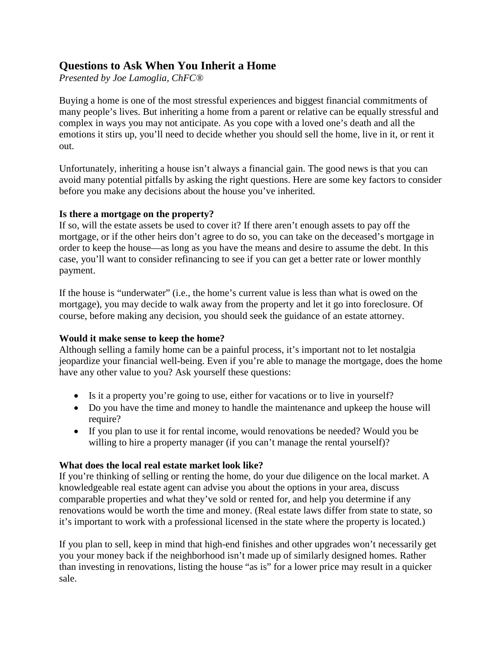# **Questions to Ask When You Inherit a Home**

*Presented by Joe Lamoglia, ChFC®*

Buying a home is one of the most stressful experiences and biggest financial commitments of many people's lives. But inheriting a home from a parent or relative can be equally stressful and complex in ways you may not anticipate. As you cope with a loved one's death and all the emotions it stirs up, you'll need to decide whether you should sell the home, live in it, or rent it out.

Unfortunately, inheriting a house isn't always a financial gain. The good news is that you can avoid many potential pitfalls by asking the right questions. Here are some key factors to consider before you make any decisions about the house you've inherited.

#### **Is there a mortgage on the property?**

If so, will the estate assets be used to cover it? If there aren't enough assets to pay off the mortgage, or if the other heirs don't agree to do so, you can take on the deceased's mortgage in order to keep the house—as long as you have the means and desire to assume the debt. In this case, you'll want to consider refinancing to see if you can get a better rate or lower monthly payment.

If the house is "underwater" (i.e., the home's current value is less than what is owed on the mortgage), you may decide to walk away from the property and let it go into foreclosure. Of course, before making any decision, you should seek the guidance of an estate attorney.

## **Would it make sense to keep the home?**

Although selling a family home can be a painful process, it's important not to let nostalgia jeopardize your financial well-being. Even if you're able to manage the mortgage, does the home have any other value to you? Ask yourself these questions:

- Is it a property you're going to use, either for vacations or to live in yourself?
- Do you have the time and money to handle the maintenance and upkeep the house will require?
- If you plan to use it for rental income, would renovations be needed? Would you be willing to hire a property manager (if you can't manage the rental yourself)?

## **What does the local real estate market look like?**

If you're thinking of selling or renting the home, do your due diligence on the local market. A knowledgeable real estate agent can advise you about the options in your area, discuss comparable properties and what they've sold or rented for, and help you determine if any renovations would be worth the time and money. (Real estate laws differ from state to state, so it's important to work with a professional licensed in the state where the property is located.)

If you plan to sell, keep in mind that high-end finishes and other upgrades won't necessarily get you your money back if the neighborhood isn't made up of similarly designed homes. Rather than investing in renovations, listing the house "as is" for a lower price may result in a quicker sale.